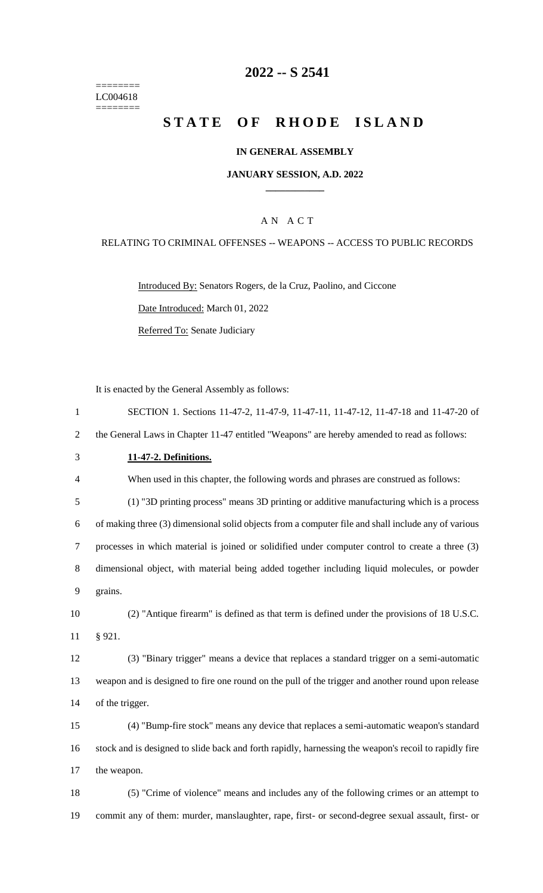======== LC004618  $=$ 

## **2022 -- S 2541**

## **STATE OF RHODE ISLAND**

#### **IN GENERAL ASSEMBLY**

#### **JANUARY SESSION, A.D. 2022 \_\_\_\_\_\_\_\_\_\_\_\_**

#### A N A C T

#### RELATING TO CRIMINAL OFFENSES -- WEAPONS -- ACCESS TO PUBLIC RECORDS

Introduced By: Senators Rogers, de la Cruz, Paolino, and Ciccone Date Introduced: March 01, 2022

Referred To: Senate Judiciary

It is enacted by the General Assembly as follows:

| $\mathbf{1}$   | SECTION 1. Sections 11-47-2, 11-47-9, 11-47-11, 11-47-12, 11-47-18 and 11-47-20 of                    |
|----------------|-------------------------------------------------------------------------------------------------------|
| $\overline{2}$ | the General Laws in Chapter 11-47 entitled "Weapons" are hereby amended to read as follows:           |
| 3              | 11-47-2. Definitions.                                                                                 |
| $\overline{4}$ | When used in this chapter, the following words and phrases are construed as follows:                  |
| 5              | (1) "3D printing process" means 3D printing or additive manufacturing which is a process              |
| 6              | of making three (3) dimensional solid objects from a computer file and shall include any of various   |
| 7              | processes in which material is joined or solidified under computer control to create a three (3)      |
| 8              | dimensional object, with material being added together including liquid molecules, or powder          |
| 9              | grains.                                                                                               |
| 10             | (2) "Antique firearm" is defined as that term is defined under the provisions of 18 U.S.C.            |
| 11             | § 921.                                                                                                |
| 12             | (3) "Binary trigger" means a device that replaces a standard trigger on a semi-automatic              |
| 13             | weapon and is designed to fire one round on the pull of the trigger and another round upon release    |
| 14             | of the trigger.                                                                                       |
| 15             | (4) "Bump-fire stock" means any device that replaces a semi-automatic weapon's standard               |
| 16             | stock and is designed to slide back and forth rapidly, harnessing the weapon's recoil to rapidly fire |
| 17             | the weapon.                                                                                           |
| 18             | (5) "Crime of violence" means and includes any of the following crimes or an attempt to               |
| 19             | commit any of them: murder, manslaughter, rape, first- or second-degree sexual assault, first- or     |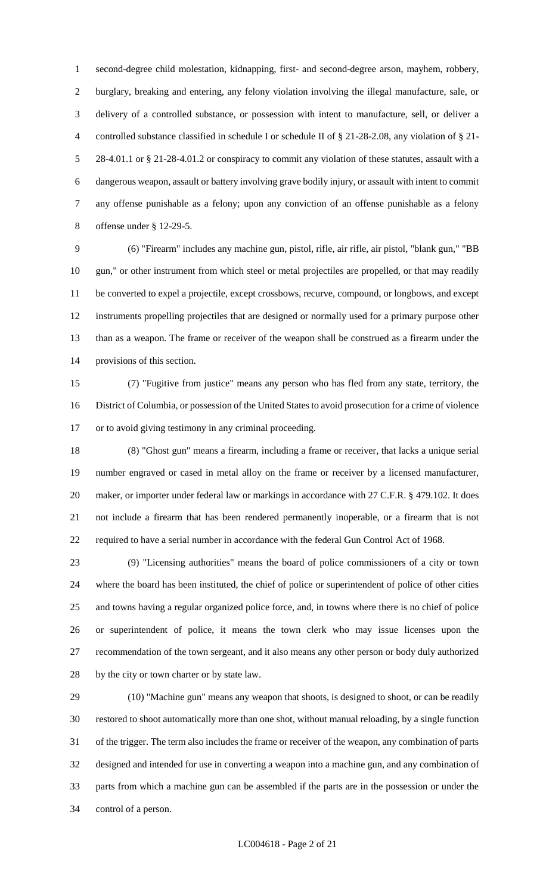second-degree child molestation, kidnapping, first- and second-degree arson, mayhem, robbery, burglary, breaking and entering, any felony violation involving the illegal manufacture, sale, or delivery of a controlled substance, or possession with intent to manufacture, sell, or deliver a controlled substance classified in schedule I or schedule II of § 21-28-2.08, any violation of § 21- 28-4.01.1 or § 21-28-4.01.2 or conspiracy to commit any violation of these statutes, assault with a dangerous weapon, assault or battery involving grave bodily injury, or assault with intent to commit any offense punishable as a felony; upon any conviction of an offense punishable as a felony offense under § 12-29-5.

 (6) "Firearm" includes any machine gun, pistol, rifle, air rifle, air pistol, "blank gun," "BB gun," or other instrument from which steel or metal projectiles are propelled, or that may readily be converted to expel a projectile, except crossbows, recurve, compound, or longbows, and except instruments propelling projectiles that are designed or normally used for a primary purpose other than as a weapon. The frame or receiver of the weapon shall be construed as a firearm under the provisions of this section.

 (7) "Fugitive from justice" means any person who has fled from any state, territory, the District of Columbia, or possession of the United States to avoid prosecution for a crime of violence or to avoid giving testimony in any criminal proceeding.

 (8) "Ghost gun" means a firearm, including a frame or receiver, that lacks a unique serial number engraved or cased in metal alloy on the frame or receiver by a licensed manufacturer, 20 maker, or importer under federal law or markings in accordance with 27 C.F.R. § 479.102. It does not include a firearm that has been rendered permanently inoperable, or a firearm that is not required to have a serial number in accordance with the federal Gun Control Act of 1968.

 (9) "Licensing authorities" means the board of police commissioners of a city or town where the board has been instituted, the chief of police or superintendent of police of other cities and towns having a regular organized police force, and, in towns where there is no chief of police or superintendent of police, it means the town clerk who may issue licenses upon the recommendation of the town sergeant, and it also means any other person or body duly authorized by the city or town charter or by state law.

 (10) "Machine gun" means any weapon that shoots, is designed to shoot, or can be readily restored to shoot automatically more than one shot, without manual reloading, by a single function of the trigger. The term also includes the frame or receiver of the weapon, any combination of parts designed and intended for use in converting a weapon into a machine gun, and any combination of parts from which a machine gun can be assembled if the parts are in the possession or under the control of a person.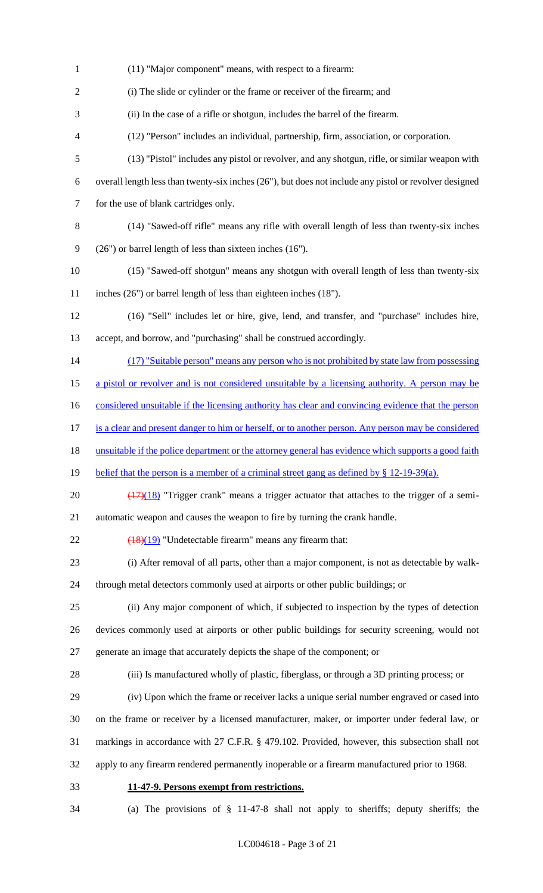(11) "Major component" means, with respect to a firearm: (i) The slide or cylinder or the frame or receiver of the firearm; and (ii) In the case of a rifle or shotgun, includes the barrel of the firearm. (12) "Person" includes an individual, partnership, firm, association, or corporation. (13) "Pistol" includes any pistol or revolver, and any shotgun, rifle, or similar weapon with overall length less than twenty-six inches (26"), but does not include any pistol or revolver designed for the use of blank cartridges only. (14) "Sawed-off rifle" means any rifle with overall length of less than twenty-six inches (26") or barrel length of less than sixteen inches (16"). (15) "Sawed-off shotgun" means any shotgun with overall length of less than twenty-six inches (26") or barrel length of less than eighteen inches (18"). (16) "Sell" includes let or hire, give, lend, and transfer, and "purchase" includes hire, accept, and borrow, and "purchasing" shall be construed accordingly. 14 (17) "Suitable person" means any person who is not prohibited by state law from possessing 15 a pistol or revolver and is not considered unsuitable by a licensing authority. A person may be 16 considered unsuitable if the licensing authority has clear and convincing evidence that the person is a clear and present danger to him or herself, or to another person. Any person may be considered unsuitable if the police department or the attorney general has evidence which supports a good faith 19 belief that the person is a member of a criminal street gang as defined by § 12-19-39(a).  $\left(\frac{(17)(18)}{(17)(18)}\right)$  "Trigger crank" means a trigger actuator that attaches to the trigger of a semi- automatic weapon and causes the weapon to fire by turning the crank handle.  $\left(\frac{18}{19}\right)$  "Undetectable firearm" means any firearm that: (i) After removal of all parts, other than a major component, is not as detectable by walk- through metal detectors commonly used at airports or other public buildings; or (ii) Any major component of which, if subjected to inspection by the types of detection devices commonly used at airports or other public buildings for security screening, would not generate an image that accurately depicts the shape of the component; or (iii) Is manufactured wholly of plastic, fiberglass, or through a 3D printing process; or (iv) Upon which the frame or receiver lacks a unique serial number engraved or cased into on the frame or receiver by a licensed manufacturer, maker, or importer under federal law, or markings in accordance with 27 C.F.R. § 479.102. Provided, however, this subsection shall not apply to any firearm rendered permanently inoperable or a firearm manufactured prior to 1968. **11-47-9. Persons exempt from restrictions.** (a) The provisions of § 11-47-8 shall not apply to sheriffs; deputy sheriffs; the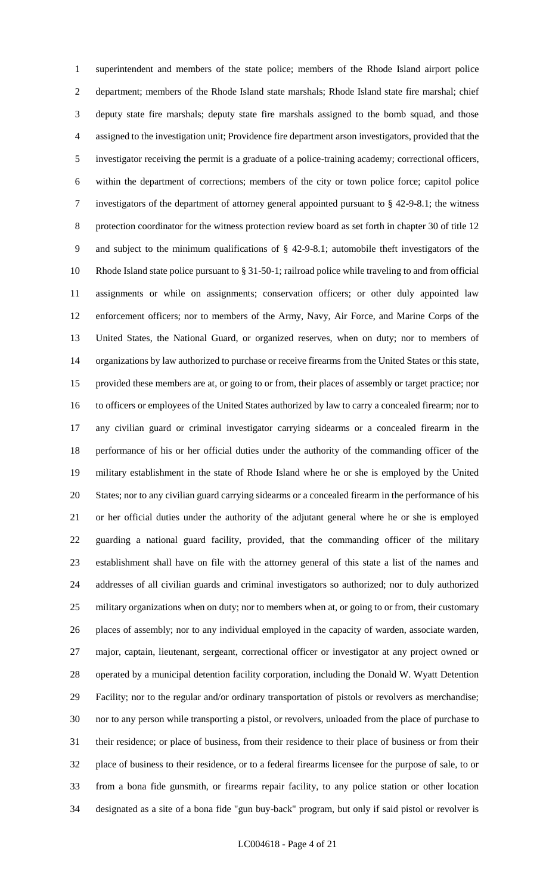superintendent and members of the state police; members of the Rhode Island airport police department; members of the Rhode Island state marshals; Rhode Island state fire marshal; chief deputy state fire marshals; deputy state fire marshals assigned to the bomb squad, and those assigned to the investigation unit; Providence fire department arson investigators, provided that the investigator receiving the permit is a graduate of a police-training academy; correctional officers, within the department of corrections; members of the city or town police force; capitol police investigators of the department of attorney general appointed pursuant to § 42-9-8.1; the witness protection coordinator for the witness protection review board as set forth in chapter 30 of title 12 and subject to the minimum qualifications of § 42-9-8.1; automobile theft investigators of the Rhode Island state police pursuant to § 31-50-1; railroad police while traveling to and from official assignments or while on assignments; conservation officers; or other duly appointed law enforcement officers; nor to members of the Army, Navy, Air Force, and Marine Corps of the United States, the National Guard, or organized reserves, when on duty; nor to members of organizations by law authorized to purchase or receive firearms from the United States or this state, provided these members are at, or going to or from, their places of assembly or target practice; nor to officers or employees of the United States authorized by law to carry a concealed firearm; nor to any civilian guard or criminal investigator carrying sidearms or a concealed firearm in the performance of his or her official duties under the authority of the commanding officer of the military establishment in the state of Rhode Island where he or she is employed by the United States; nor to any civilian guard carrying sidearms or a concealed firearm in the performance of his or her official duties under the authority of the adjutant general where he or she is employed guarding a national guard facility, provided, that the commanding officer of the military establishment shall have on file with the attorney general of this state a list of the names and addresses of all civilian guards and criminal investigators so authorized; nor to duly authorized military organizations when on duty; nor to members when at, or going to or from, their customary places of assembly; nor to any individual employed in the capacity of warden, associate warden, major, captain, lieutenant, sergeant, correctional officer or investigator at any project owned or operated by a municipal detention facility corporation, including the Donald W. Wyatt Detention Facility; nor to the regular and/or ordinary transportation of pistols or revolvers as merchandise; nor to any person while transporting a pistol, or revolvers, unloaded from the place of purchase to their residence; or place of business, from their residence to their place of business or from their place of business to their residence, or to a federal firearms licensee for the purpose of sale, to or from a bona fide gunsmith, or firearms repair facility, to any police station or other location designated as a site of a bona fide "gun buy-back" program, but only if said pistol or revolver is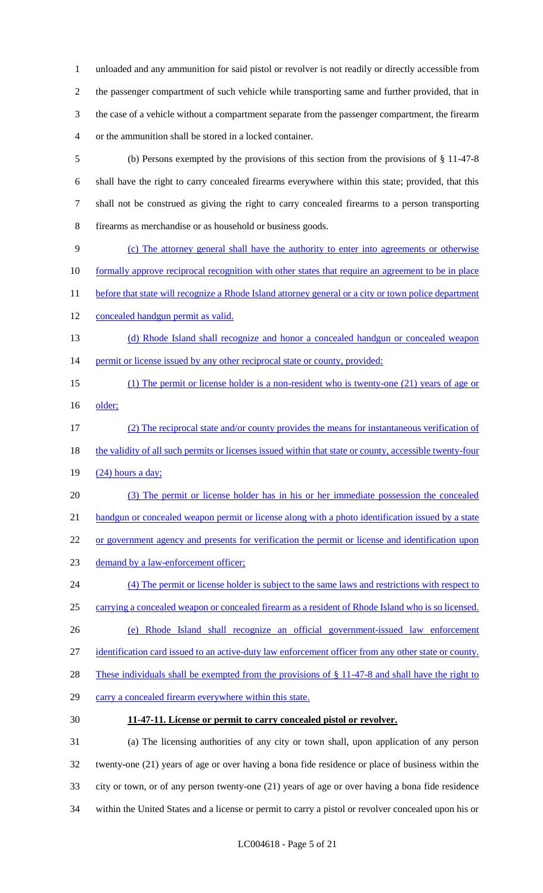unloaded and any ammunition for said pistol or revolver is not readily or directly accessible from the passenger compartment of such vehicle while transporting same and further provided, that in the case of a vehicle without a compartment separate from the passenger compartment, the firearm or the ammunition shall be stored in a locked container.

- (b) Persons exempted by the provisions of this section from the provisions of § 11-47-8 shall have the right to carry concealed firearms everywhere within this state; provided, that this shall not be construed as giving the right to carry concealed firearms to a person transporting firearms as merchandise or as household or business goods.
- (c) The attorney general shall have the authority to enter into agreements or otherwise
- 10 formally approve reciprocal recognition with other states that require an agreement to be in place
- 11 before that state will recognize a Rhode Island attorney general or a city or town police department
- concealed handgun permit as valid.
- (d) Rhode Island shall recognize and honor a concealed handgun or concealed weapon 14 permit or license issued by any other reciprocal state or county, provided:
- (1) The permit or license holder is a non-resident who is twenty-one (21) years of age or 16 older;
- (2) The reciprocal state and/or county provides the means for instantaneous verification of 18 the validity of all such permits or licenses issued within that state or county, accessible twenty-four (24) hours a day;
- (3) The permit or license holder has in his or her immediate possession the concealed 21 handgun or concealed weapon permit or license along with a photo identification issued by a state 22 or government agency and presents for verification the permit or license and identification upon
- 23 demand by a law-enforcement officer;
- (4) The permit or license holder is subject to the same laws and restrictions with respect to carrying a concealed weapon or concealed firearm as a resident of Rhode Island who is so licensed. (e) Rhode Island shall recognize an official government-issued law enforcement identification card issued to an active-duty law enforcement officer from any other state or county.
- 
- 28 These individuals shall be exempted from the provisions of § 11-47-8 and shall have the right to
- carry a concealed firearm everywhere within this state.
- 

#### **11-47-11. License or permit to carry concealed pistol or revolver.**

 (a) The licensing authorities of any city or town shall, upon application of any person twenty-one (21) years of age or over having a bona fide residence or place of business within the city or town, or of any person twenty-one (21) years of age or over having a bona fide residence within the United States and a license or permit to carry a pistol or revolver concealed upon his or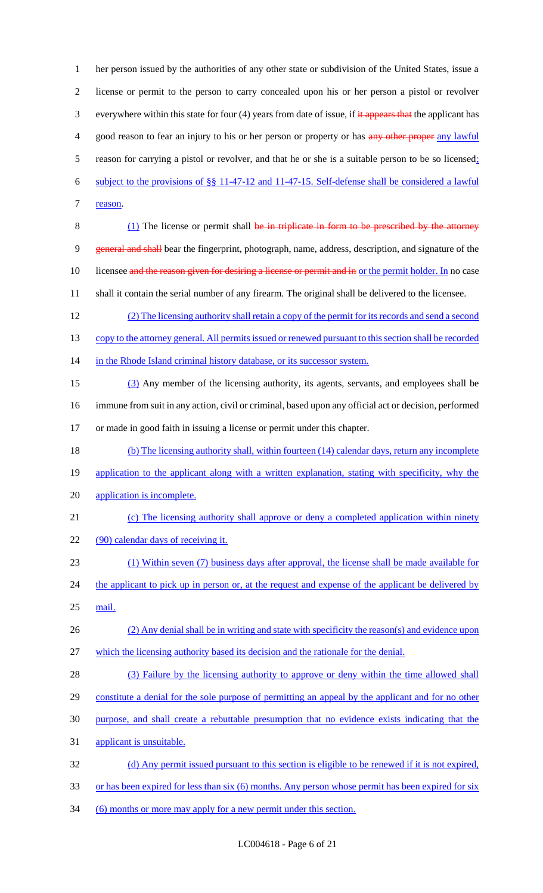her person issued by the authorities of any other state or subdivision of the United States, issue a license or permit to the person to carry concealed upon his or her person a pistol or revolver 3 everywhere within this state for four (4) years from date of issue, if it appears that the applicant has 4 good reason to fear an injury to his or her person or property or has any other proper any lawful reason for carrying a pistol or revolver, and that he or she is a suitable person to be so licensed; subject to the provisions of §§ 11-47-12 and 11-47-15. Self-defense shall be considered a lawful 7 reason. 8 (1) The license or permit shall be in triplicate in form to be prescribed by the attorney general and shall bear the fingerprint, photograph, name, address, description, and signature of the 10 licensee and the reason given for desiring a license or permit and in or the permit holder. In no case shall it contain the serial number of any firearm. The original shall be delivered to the licensee. (2) The licensing authority shall retain a copy of the permit for its records and send a second 13 copy to the attorney general. All permits issued or renewed pursuant to this section shall be recorded 14 in the Rhode Island criminal history database, or its successor system. (3) Any member of the licensing authority, its agents, servants, and employees shall be immune from suit in any action, civil or criminal, based upon any official act or decision, performed or made in good faith in issuing a license or permit under this chapter. (b) The licensing authority shall, within fourteen (14) calendar days, return any incomplete 19 application to the applicant along with a written explanation, stating with specificity, why the application is incomplete. (c) The licensing authority shall approve or deny a completed application within ninety 22 (90) calendar days of receiving it. (1) Within seven (7) business days after approval, the license shall be made available for 24 the applicant to pick up in person or, at the request and expense of the applicant be delivered by 25 mail. (2) Any denial shall be in writing and state with specificity the reason(s) and evidence upon which the licensing authority based its decision and the rationale for the denial. 28 (3) Failure by the licensing authority to approve or deny within the time allowed shall constitute a denial for the sole purpose of permitting an appeal by the applicant and for no other purpose, and shall create a rebuttable presumption that no evidence exists indicating that the applicant is unsuitable. (d) Any permit issued pursuant to this section is eligible to be renewed if it is not expired, 33 or has been expired for less than six (6) months. Any person whose permit has been expired for six

34 (6) months or more may apply for a new permit under this section.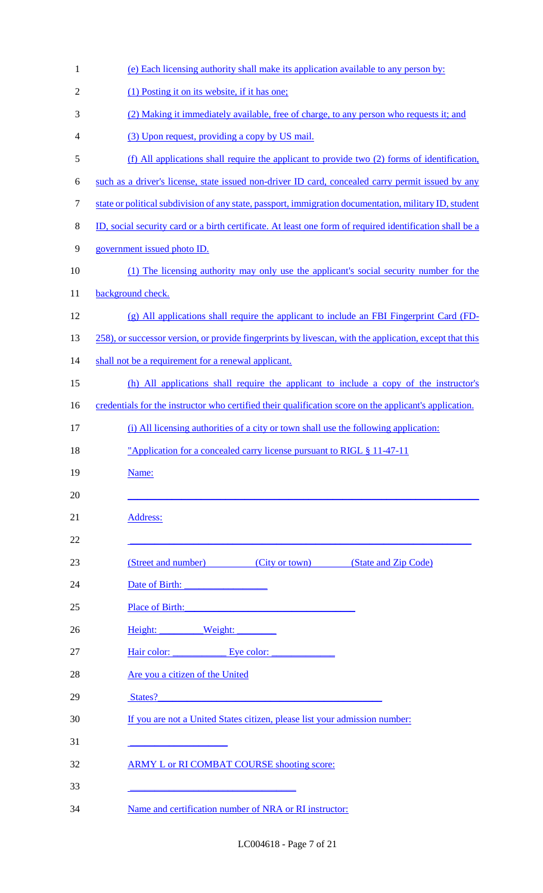| $\mathbf{1}$   | (e) Each licensing authority shall make its application available to any person by:                      |
|----------------|----------------------------------------------------------------------------------------------------------|
| $\overline{2}$ | (1) Posting it on its website, if it has one;                                                            |
| 3              | (2) Making it immediately available, free of charge, to any person who requests it; and                  |
| 4              | (3) Upon request, providing a copy by US mail.                                                           |
| 5              | (f) All applications shall require the applicant to provide two (2) forms of identification,             |
| 6              | such as a driver's license, state issued non-driver ID card, concealed carry permit issued by any        |
| 7              | state or political subdivision of any state, passport, immigration documentation, military ID, student   |
| 8              | ID, social security card or a birth certificate. At least one form of required identification shall be a |
| 9              | government issued photo ID.                                                                              |
| 10             | (1) The licensing authority may only use the applicant's social security number for the                  |
| 11             | background check.                                                                                        |
| 12             | (g) All applications shall require the applicant to include an FBI Fingerprint Card (FD-                 |
| 13             | 258), or successor version, or provide fingerprints by livescan, with the application, except that this  |
| 14             | shall not be a requirement for a renewal applicant.                                                      |
| 15             | (h) All applications shall require the applicant to include a copy of the instructor's                   |
| 16             | credentials for the instructor who certified their qualification score on the applicant's application.   |
| 17             | (i) All licensing authorities of a city or town shall use the following application:                     |
| 18             | <u>"Application for a concealed carry license pursuant to RIGL § 11-47-11</u>                            |
| 19             | Name:                                                                                                    |
| 20             |                                                                                                          |
| 21             | Address:                                                                                                 |
| 22             |                                                                                                          |
| 23             | (Street and number) (City or town) (State and Zip Code)                                                  |
| 24             |                                                                                                          |
| 25             | Place of Birth:                                                                                          |
| 26             | Height: Weight:                                                                                          |
| 27             | Hair color: Eye color:                                                                                   |
| 28             | Are you a citizen of the United                                                                          |
| 29             | States?                                                                                                  |
| 30             | If you are not a United States citizen, please list your admission number:                               |
| 31             |                                                                                                          |
| 32             | <b>ARMY L or RI COMBAT COURSE shooting score:</b>                                                        |
| 33             |                                                                                                          |
| 34             | Name and certification number of NRA or RI instructor:                                                   |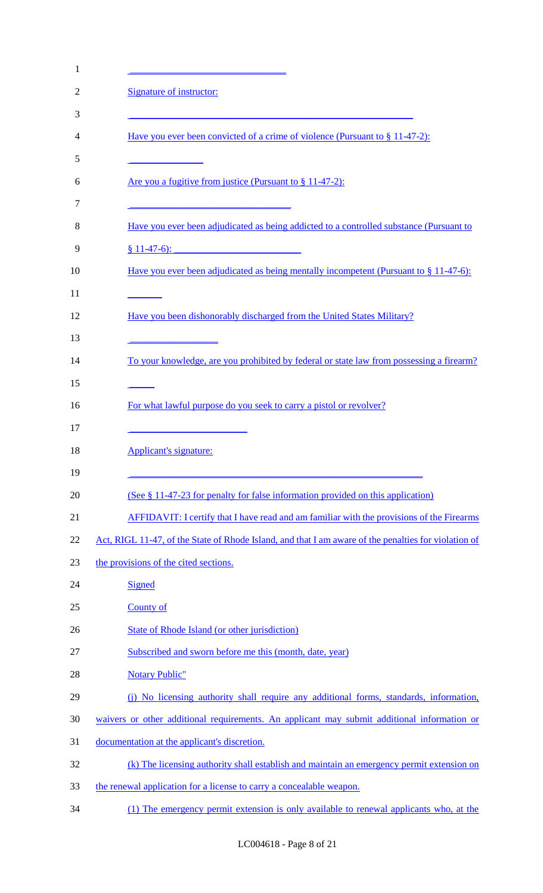| $\mathbf{1}$   |                                                                                                                                                                                                                  |
|----------------|------------------------------------------------------------------------------------------------------------------------------------------------------------------------------------------------------------------|
| $\overline{2}$ | Signature of instructor:                                                                                                                                                                                         |
| 3              |                                                                                                                                                                                                                  |
| 4              | Have you ever been convicted of a crime of violence (Pursuant to § 11-47-2):                                                                                                                                     |
| 5              |                                                                                                                                                                                                                  |
| 6              | Are you a fugitive from justice (Pursuant to § 11-47-2):                                                                                                                                                         |
| 7<br>8         | <u> 1989 - Johann Barn, mars ann an t-Amhain an t-Amhain an t-Amhain an t-Amhain an t-Amhain an t-Amhain an t-Amh</u><br>Have you ever been adjudicated as being addicted to a controlled substance (Pursuant to |
| 9              | $§ 11-47-6$ :                                                                                                                                                                                                    |
| 10             | <u>Have you ever been adjudicated as being mentally incompetent (Pursuant to <math>\S</math> 11-47-6):</u>                                                                                                       |
| 11<br>12<br>13 | Have you been dishonorably discharged from the United States Military?                                                                                                                                           |
| 14<br>15       | To your knowledge, are you prohibited by federal or state law from possessing a firearm?                                                                                                                         |
| 16<br>17       | For what lawful purpose do you seek to carry a pistol or revolver?                                                                                                                                               |
| 18<br>19       | Applicant's signature:                                                                                                                                                                                           |
| 20             | (See § 11-47-23 for penalty for false information provided on this application)                                                                                                                                  |
| 21             | <b>AFFIDAVIT:</b> I certify that I have read and am familiar with the provisions of the Firearms                                                                                                                 |
| 22             | Act, RIGL 11-47, of the State of Rhode Island, and that I am aware of the penalties for violation of                                                                                                             |
| 23             | the provisions of the cited sections.                                                                                                                                                                            |
| 24             | <b>Signed</b>                                                                                                                                                                                                    |
| 25             | <b>County of</b>                                                                                                                                                                                                 |
| 26             | State of Rhode Island (or other jurisdiction)                                                                                                                                                                    |
| 27             | Subscribed and sworn before me this (month, date, year)                                                                                                                                                          |
| 28             | <b>Notary Public"</b>                                                                                                                                                                                            |
| 29             | (i) No licensing authority shall require any additional forms, standards, information,                                                                                                                           |
| 30             | waivers or other additional requirements. An applicant may submit additional information or                                                                                                                      |
| 31             | documentation at the applicant's discretion.                                                                                                                                                                     |
| 32             | (k) The licensing authority shall establish and maintain an emergency permit extension on                                                                                                                        |
| 33             | the renewal application for a license to carry a concealable weapon.                                                                                                                                             |
| 34             | (1) The emergency permit extension is only available to renewal applicants who, at the                                                                                                                           |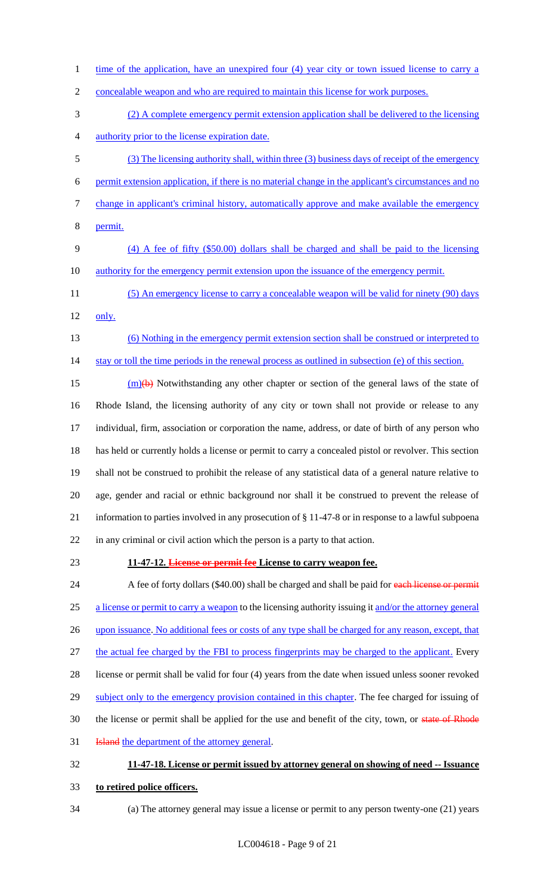- 1 time of the application, have an unexpired four (4) year city or town issued license to carry a concealable weapon and who are required to maintain this license for work purposes. (2) A complete emergency permit extension application shall be delivered to the licensing authority prior to the license expiration date. (3) The licensing authority shall, within three (3) business days of receipt of the emergency permit extension application, if there is no material change in the applicant's circumstances and no change in applicant's criminal history, automatically approve and make available the emergency permit. (4) A fee of fifty (\$50.00) dollars shall be charged and shall be paid to the licensing 10 authority for the emergency permit extension upon the issuance of the emergency permit. 11 (5) An emergency license to carry a concealable weapon will be valid for ninety (90) days only. (6) Nothing in the emergency permit extension section shall be construed or interpreted to 14 stay or toll the time periods in the renewal process as outlined in subsection (e) of this section.  $\frac{15}{2}$  (m)(b) Notwithstanding any other chapter or section of the general laws of the state of Rhode Island, the licensing authority of any city or town shall not provide or release to any individual, firm, association or corporation the name, address, or date of birth of any person who has held or currently holds a license or permit to carry a concealed pistol or revolver. This section shall not be construed to prohibit the release of any statistical data of a general nature relative to age, gender and racial or ethnic background nor shall it be construed to prevent the release of information to parties involved in any prosecution of § 11-47-8 or in response to a lawful subpoena in any criminal or civil action which the person is a party to that action. **11-47-12. License or permit fee License to carry weapon fee.** 24 A fee of forty dollars (\$40.00) shall be charged and shall be paid for each license or permit 25 a license or permit to carry a weapon to the licensing authority issuing it and/or the attorney general 26 upon issuance. No additional fees or costs of any type shall be charged for any reason, except, that 27 the actual fee charged by the FBI to process fingerprints may be charged to the applicant. Every license or permit shall be valid for four (4) years from the date when issued unless sooner revoked 29 subject only to the emergency provision contained in this chapter. The fee charged for issuing of 30 the license or permit shall be applied for the use and benefit of the city, town, or state of Rhode
- **Island** the department of the attorney general.

# **11-47-18. License or permit issued by attorney general on showing of need -- Issuance**

- **to retired police officers.**
-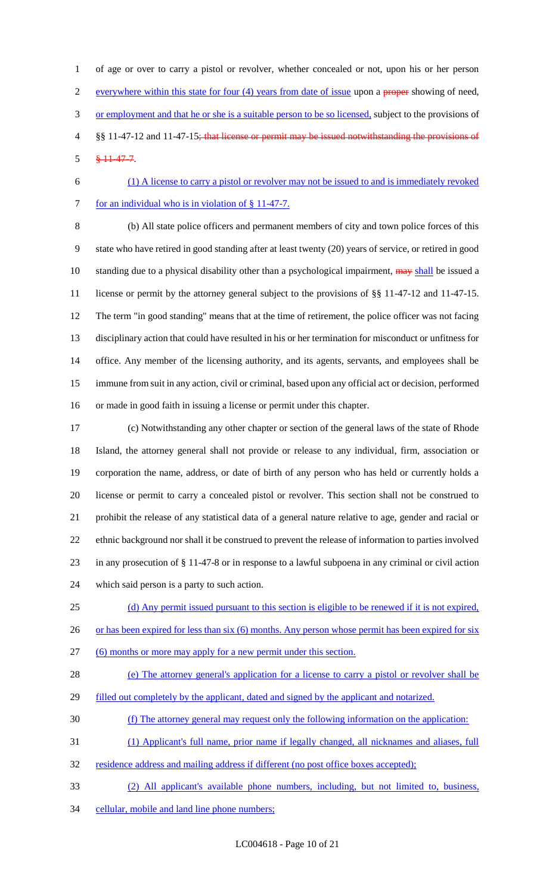of age or over to carry a pistol or revolver, whether concealed or not, upon his or her person everywhere within this state for four (4) years from date of issue upon a proper showing of need, 3 or employment and that he or she is a suitable person to be so licensed, subject to the provisions of §§ 11-47-12 and 11-47-15; that license or permit may be issued notwithstanding the provisions of § 11-47-7.

- (1) A license to carry a pistol or revolver may not be issued to and is immediately revoked
- 7 for an individual who is in violation of § 11-47-7.

 (b) All state police officers and permanent members of city and town police forces of this state who have retired in good standing after at least twenty (20) years of service, or retired in good 10 standing due to a physical disability other than a psychological impairment, may shall be issued a license or permit by the attorney general subject to the provisions of §§ 11-47-12 and 11-47-15. The term "in good standing" means that at the time of retirement, the police officer was not facing disciplinary action that could have resulted in his or her termination for misconduct or unfitness for office. Any member of the licensing authority, and its agents, servants, and employees shall be immune from suit in any action, civil or criminal, based upon any official act or decision, performed or made in good faith in issuing a license or permit under this chapter.

 (c) Notwithstanding any other chapter or section of the general laws of the state of Rhode Island, the attorney general shall not provide or release to any individual, firm, association or corporation the name, address, or date of birth of any person who has held or currently holds a license or permit to carry a concealed pistol or revolver. This section shall not be construed to prohibit the release of any statistical data of a general nature relative to age, gender and racial or ethnic background nor shall it be construed to prevent the release of information to parties involved in any prosecution of § 11-47-8 or in response to a lawful subpoena in any criminal or civil action which said person is a party to such action.

(d) Any permit issued pursuant to this section is eligible to be renewed if it is not expired,

26 or has been expired for less than six (6) months. Any person whose permit has been expired for six

- (6) months or more may apply for a new permit under this section.
- (e) The attorney general's application for a license to carry a pistol or revolver shall be
- 29 filled out completely by the applicant, dated and signed by the applicant and notarized.
- (f) The attorney general may request only the following information on the application:
- (1) Applicant's full name, prior name if legally changed, all nicknames and aliases, full
- residence address and mailing address if different (no post office boxes accepted);
- (2) All applicant's available phone numbers, including, but not limited to, business,
- 34 cellular, mobile and land line phone numbers;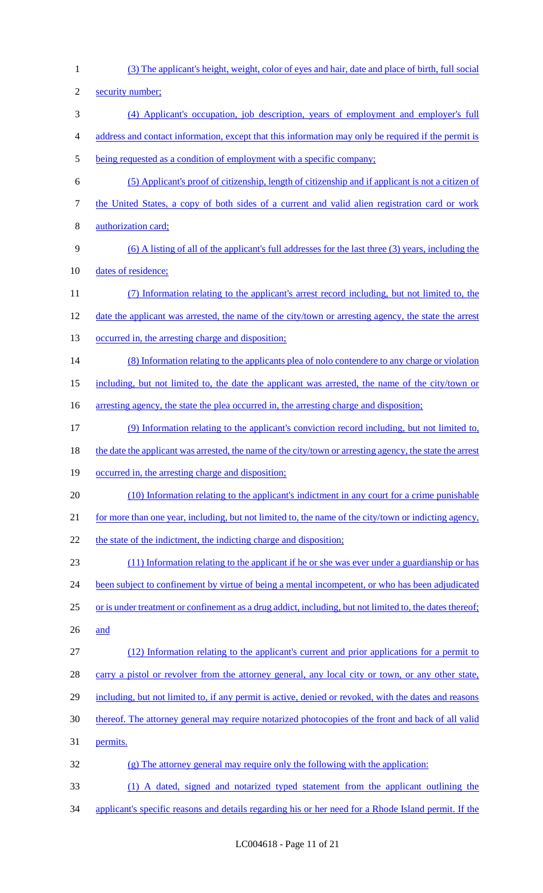(3) The applicant's height, weight, color of eyes and hair, date and place of birth, full social security number; (4) Applicant's occupation, job description, years of employment and employer's full address and contact information, except that this information may only be required if the permit is being requested as a condition of employment with a specific company; (5) Applicant's proof of citizenship, length of citizenship and if applicant is not a citizen of the United States, a copy of both sides of a current and valid alien registration card or work authorization card; (6) A listing of all of the applicant's full addresses for the last three (3) years, including the dates of residence; (7) Information relating to the applicant's arrest record including, but not limited to, the date the applicant was arrested, the name of the city/town or arresting agency, the state the arrest 13 occurred in, the arresting charge and disposition; 14 (8) Information relating to the applicants plea of nolo contendere to any charge or violation including, but not limited to, the date the applicant was arrested, the name of the city/town or 16 arresting agency, the state the plea occurred in, the arresting charge and disposition; (9) Information relating to the applicant's conviction record including, but not limited to, 18 the date the applicant was arrested, the name of the city/town or arresting agency, the state the arrest occurred in, the arresting charge and disposition; (10) Information relating to the applicant's indictment in any court for a crime punishable for more than one year, including, but not limited to, the name of the city/town or indicting agency, 22 the state of the indictment, the indicting charge and disposition; (11) Information relating to the applicant if he or she was ever under a guardianship or has 24 been subject to confinement by virtue of being a mental incompetent, or who has been adjudicated 25 or is under treatment or confinement as a drug addict, including, but not limited to, the dates thereof; and (12) Information relating to the applicant's current and prior applications for a permit to 28 carry a pistol or revolver from the attorney general, any local city or town, or any other state, 29 including, but not limited to, if any permit is active, denied or revoked, with the dates and reasons thereof. The attorney general may require notarized photocopies of the front and back of all valid permits. (g) The attorney general may require only the following with the application: (1) A dated, signed and notarized typed statement from the applicant outlining the applicant's specific reasons and details regarding his or her need for a Rhode Island permit. If the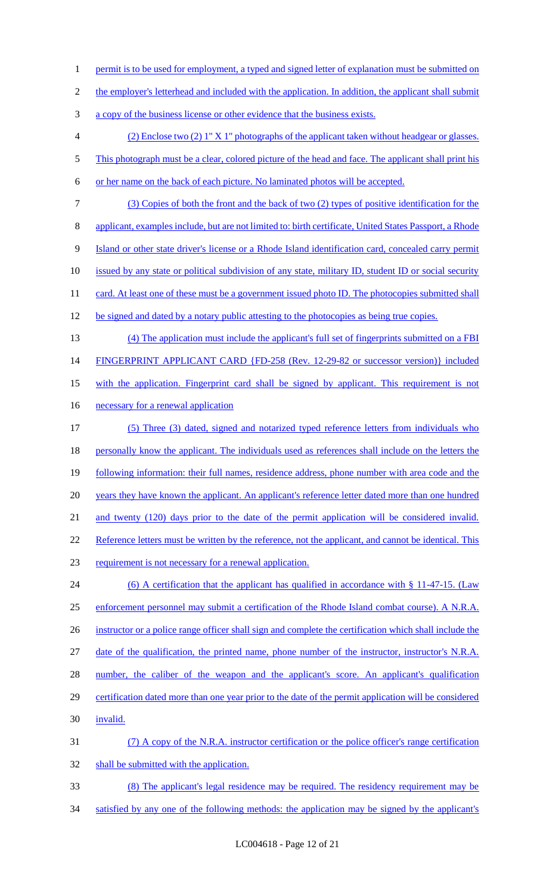2 the employer's letterhead and included with the application. In addition, the applicant shall submit 3 a copy of the business license or other evidence that the business exists. 4 (2) Enclose two (2) 1" X 1" photographs of the applicant taken without headgear or glasses. 5 This photograph must be a clear, colored picture of the head and face. The applicant shall print his 6 or her name on the back of each picture. No laminated photos will be accepted. 7 (3) Copies of both the front and the back of two (2) types of positive identification for the 8 applicant, examples include, but are not limited to: birth certificate, United States Passport, a Rhode 9 Island or other state driver's license or a Rhode Island identification card, concealed carry permit 10 issued by any state or political subdivision of any state, military ID, student ID or social security 11 card. At least one of these must be a government issued photo ID. The photocopies submitted shall 12 be signed and dated by a notary public attesting to the photocopies as being true copies. 13 (4) The application must include the applicant's full set of fingerprints submitted on a FBI 14 FINGERPRINT APPLICANT CARD {FD-258 (Rev. 12-29-82 or successor version)} included 15 with the application. Fingerprint card shall be signed by applicant. This requirement is not 16 necessary for a renewal application 17 (5) Three (3) dated, signed and notarized typed reference letters from individuals who 18 personally know the applicant. The individuals used as references shall include on the letters the 19 following information: their full names, residence address, phone number with area code and the 20 years they have known the applicant. An applicant's reference letter dated more than one hundred 21 and twenty (120) days prior to the date of the permit application will be considered invalid. 22 Reference letters must be written by the reference, not the applicant, and cannot be identical. This 23 requirement is not necessary for a renewal application. 24 (6) A certification that the applicant has qualified in accordance with § 11-47-15. (Law 25 enforcement personnel may submit a certification of the Rhode Island combat course). A N.R.A. 26 instructor or a police range officer shall sign and complete the certification which shall include the 27 date of the qualification, the printed name, phone number of the instructor, instructor's N.R.A. 28 number, the caliber of the weapon and the applicant's score. An applicant's qualification 29 certification dated more than one year prior to the date of the permit application will be considered 30 invalid. 31 (7) A copy of the N.R.A. instructor certification or the police officer's range certification 32 shall be submitted with the application. 33 (8) The applicant's legal residence may be required. The residency requirement may be 34 satisfied by any one of the following methods: the application may be signed by the applicant's

1 permit is to be used for employment, a typed and signed letter of explanation must be submitted on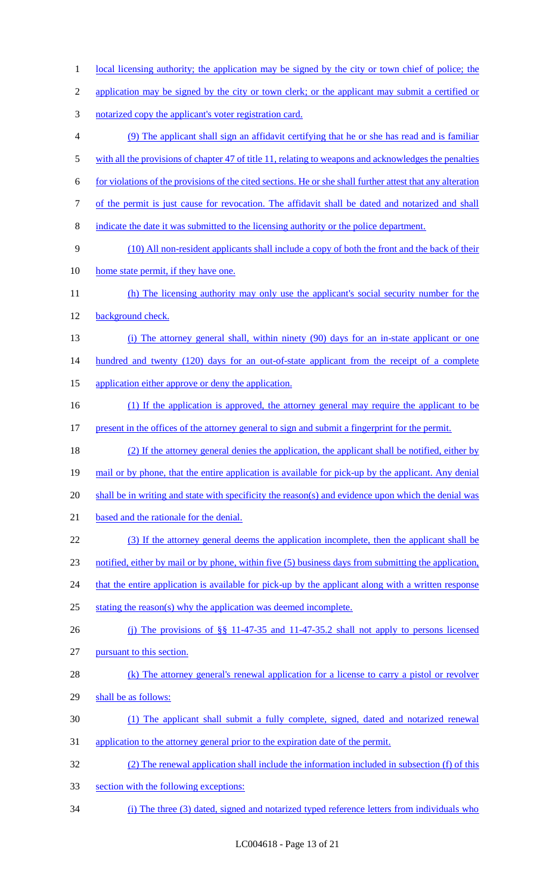- 1 local licensing authority; the application may be signed by the city or town chief of police; the
- 2 application may be signed by the city or town clerk; or the applicant may submit a certified or
- notarized copy the applicant's voter registration card.
- (9) The applicant shall sign an affidavit certifying that he or she has read and is familiar 5 with all the provisions of chapter 47 of title 11, relating to weapons and acknowledges the penalties
- for violations of the provisions of the cited sections. He or she shall further attest that any alteration
- 
- of the permit is just cause for revocation. The affidavit shall be dated and notarized and shall
- indicate the date it was submitted to the licensing authority or the police department.
- (10) All non-resident applicants shall include a copy of both the front and the back of their
- home state permit, if they have one.
- (h) The licensing authority may only use the applicant's social security number for the background check.
- (i) The attorney general shall, within ninety (90) days for an in-state applicant or one 14 hundred and twenty (120) days for an out-of-state applicant from the receipt of a complete
- 15 application either approve or deny the application.
- (1) If the application is approved, the attorney general may require the applicant to be 17 present in the offices of the attorney general to sign and submit a fingerprint for the permit.
- (2) If the attorney general denies the application, the applicant shall be notified, either by 19 mail or by phone, that the entire application is available for pick-up by the applicant. Any denial shall be in writing and state with specificity the reason(s) and evidence upon which the denial was 21 based and the rationale for the denial.
- (3) If the attorney general deems the application incomplete, then the applicant shall be
- notified, either by mail or by phone, within five (5) business days from submitting the application,
- 24 that the entire application is available for pick-up by the applicant along with a written response
- 25 stating the reason(s) why the application was deemed incomplete.
- (j) The provisions of §§ 11-47-35 and 11-47-35.2 shall not apply to persons licensed
- pursuant to this section.
- (k) The attorney general's renewal application for a license to carry a pistol or revolver shall be as follows:
- (1) The applicant shall submit a fully complete, signed, dated and notarized renewal
- application to the attorney general prior to the expiration date of the permit.
- (2) The renewal application shall include the information included in subsection (f) of this
- section with the following exceptions:
- (i) The three (3) dated, signed and notarized typed reference letters from individuals who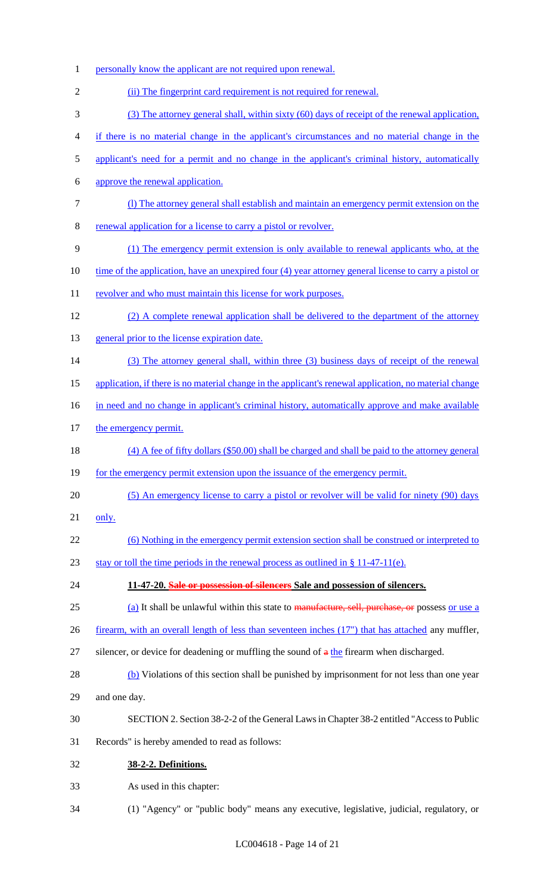1 personally know the applicant are not required upon renewal. 2 (ii) The fingerprint card requirement is not required for renewal. 3 (3) The attorney general shall, within sixty (60) days of receipt of the renewal application, 4 if there is no material change in the applicant's circumstances and no material change in the 5 applicant's need for a permit and no change in the applicant's criminal history, automatically 6 approve the renewal application. 7 (l) The attorney general shall establish and maintain an emergency permit extension on the 8 renewal application for a license to carry a pistol or revolver. 9 (1) The emergency permit extension is only available to renewal applicants who, at the 10 time of the application, have an unexpired four (4) year attorney general license to carry a pistol or 11 revolver and who must maintain this license for work purposes. 12 (2) A complete renewal application shall be delivered to the department of the attorney 13 general prior to the license expiration date. 14 (3) The attorney general shall, within three (3) business days of receipt of the renewal 15 application, if there is no material change in the applicant's renewal application, no material change 16 in need and no change in applicant's criminal history, automatically approve and make available 17 the emergency permit. 18 (4) A fee of fifty dollars (\$50.00) shall be charged and shall be paid to the attorney general 19 for the emergency permit extension upon the issuance of the emergency permit. 20 (5) An emergency license to carry a pistol or revolver will be valid for ninety (90) days 21 only. 22 (6) Nothing in the emergency permit extension section shall be construed or interpreted to 23 stay or toll the time periods in the renewal process as outlined in § 11-47-11(e). 24 **11-47-20. Sale or possession of silencers Sale and possession of silencers.** 25 (a) It shall be unlawful within this state to manufacture, sell, purchase, or possess or use a 26 firearm, with an overall length of less than seventeen inches (17") that has attached any muffler, 27 silencer, or device for deadening or muffling the sound of  $\alpha$  the firearm when discharged. 28 (b) Violations of this section shall be punished by imprisonment for not less than one year 29 and one day. 30 SECTION 2. Section 38-2-2 of the General Laws in Chapter 38-2 entitled "Access to Public 31 Records" is hereby amended to read as follows: 32 **38-2-2. Definitions.** 33 As used in this chapter: 34 (1) "Agency" or "public body" means any executive, legislative, judicial, regulatory, or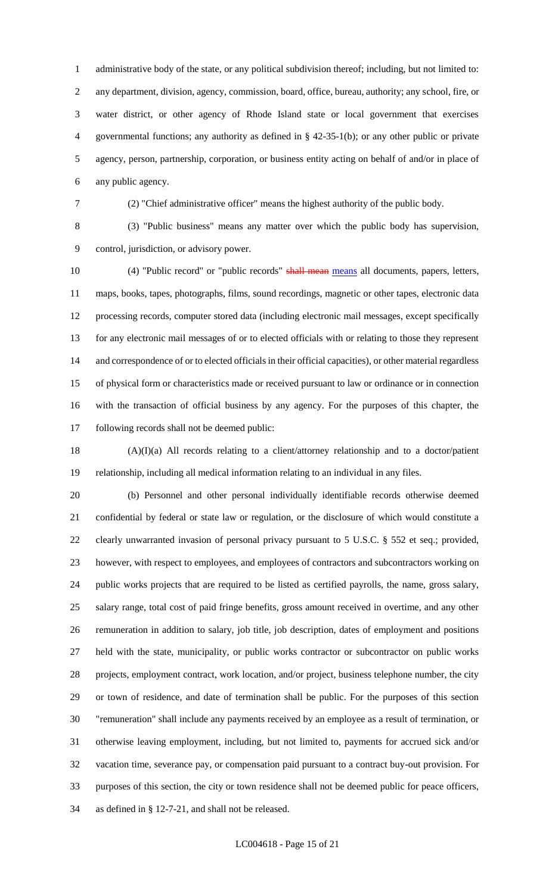administrative body of the state, or any political subdivision thereof; including, but not limited to: any department, division, agency, commission, board, office, bureau, authority; any school, fire, or water district, or other agency of Rhode Island state or local government that exercises governmental functions; any authority as defined in § 42-35-1(b); or any other public or private agency, person, partnership, corporation, or business entity acting on behalf of and/or in place of any public agency.

(2) "Chief administrative officer" means the highest authority of the public body.

 (3) "Public business" means any matter over which the public body has supervision, control, jurisdiction, or advisory power.

10 (4) "Public record" or "public records" shall mean means all documents, papers, letters, maps, books, tapes, photographs, films, sound recordings, magnetic or other tapes, electronic data processing records, computer stored data (including electronic mail messages, except specifically for any electronic mail messages of or to elected officials with or relating to those they represent and correspondence of or to elected officials in their official capacities), or other material regardless of physical form or characteristics made or received pursuant to law or ordinance or in connection with the transaction of official business by any agency. For the purposes of this chapter, the following records shall not be deemed public:

 (A)(I)(a) All records relating to a client/attorney relationship and to a doctor/patient relationship, including all medical information relating to an individual in any files.

 (b) Personnel and other personal individually identifiable records otherwise deemed confidential by federal or state law or regulation, or the disclosure of which would constitute a clearly unwarranted invasion of personal privacy pursuant to 5 U.S.C. § 552 et seq.; provided, however, with respect to employees, and employees of contractors and subcontractors working on public works projects that are required to be listed as certified payrolls, the name, gross salary, salary range, total cost of paid fringe benefits, gross amount received in overtime, and any other remuneration in addition to salary, job title, job description, dates of employment and positions held with the state, municipality, or public works contractor or subcontractor on public works projects, employment contract, work location, and/or project, business telephone number, the city or town of residence, and date of termination shall be public. For the purposes of this section "remuneration" shall include any payments received by an employee as a result of termination, or otherwise leaving employment, including, but not limited to, payments for accrued sick and/or vacation time, severance pay, or compensation paid pursuant to a contract buy-out provision. For purposes of this section, the city or town residence shall not be deemed public for peace officers, as defined in § 12-7-21, and shall not be released.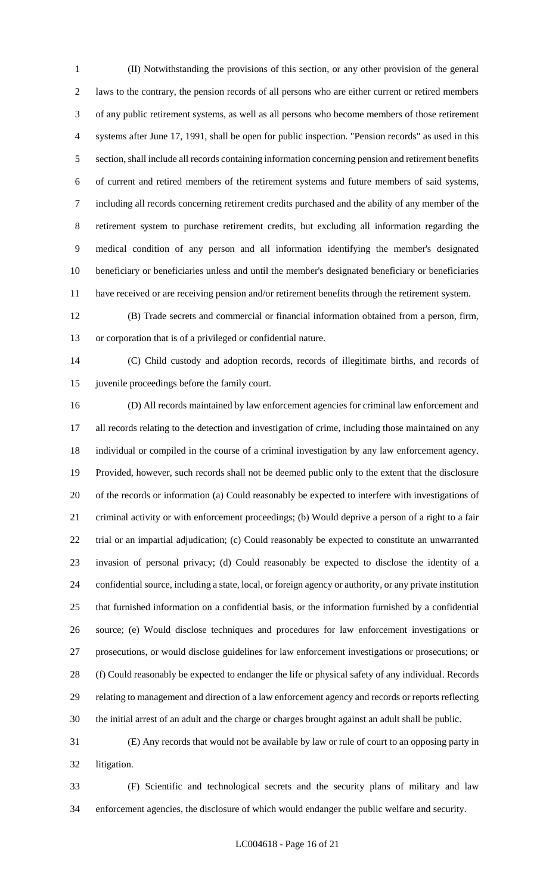(II) Notwithstanding the provisions of this section, or any other provision of the general laws to the contrary, the pension records of all persons who are either current or retired members of any public retirement systems, as well as all persons who become members of those retirement systems after June 17, 1991, shall be open for public inspection. "Pension records" as used in this section, shall include all records containing information concerning pension and retirement benefits of current and retired members of the retirement systems and future members of said systems, including all records concerning retirement credits purchased and the ability of any member of the retirement system to purchase retirement credits, but excluding all information regarding the medical condition of any person and all information identifying the member's designated beneficiary or beneficiaries unless and until the member's designated beneficiary or beneficiaries have received or are receiving pension and/or retirement benefits through the retirement system.

 (B) Trade secrets and commercial or financial information obtained from a person, firm, or corporation that is of a privileged or confidential nature.

 (C) Child custody and adoption records, records of illegitimate births, and records of juvenile proceedings before the family court.

 (D) All records maintained by law enforcement agencies for criminal law enforcement and all records relating to the detection and investigation of crime, including those maintained on any individual or compiled in the course of a criminal investigation by any law enforcement agency. Provided, however, such records shall not be deemed public only to the extent that the disclosure of the records or information (a) Could reasonably be expected to interfere with investigations of criminal activity or with enforcement proceedings; (b) Would deprive a person of a right to a fair trial or an impartial adjudication; (c) Could reasonably be expected to constitute an unwarranted invasion of personal privacy; (d) Could reasonably be expected to disclose the identity of a confidential source, including a state, local, or foreign agency or authority, or any private institution that furnished information on a confidential basis, or the information furnished by a confidential source; (e) Would disclose techniques and procedures for law enforcement investigations or prosecutions, or would disclose guidelines for law enforcement investigations or prosecutions; or (f) Could reasonably be expected to endanger the life or physical safety of any individual. Records relating to management and direction of a law enforcement agency and records or reports reflecting the initial arrest of an adult and the charge or charges brought against an adult shall be public.

 (E) Any records that would not be available by law or rule of court to an opposing party in litigation.

 (F) Scientific and technological secrets and the security plans of military and law enforcement agencies, the disclosure of which would endanger the public welfare and security.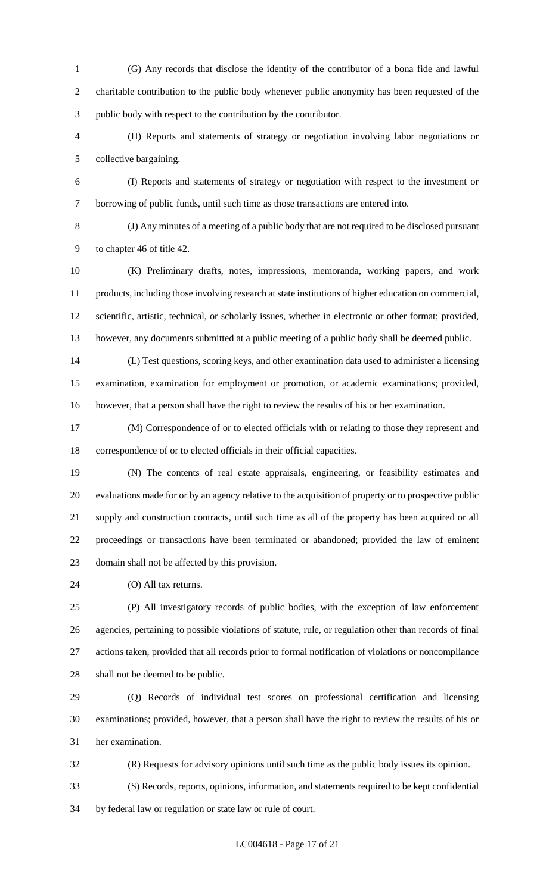- (G) Any records that disclose the identity of the contributor of a bona fide and lawful charitable contribution to the public body whenever public anonymity has been requested of the public body with respect to the contribution by the contributor.
- (H) Reports and statements of strategy or negotiation involving labor negotiations or collective bargaining.
- (I) Reports and statements of strategy or negotiation with respect to the investment or borrowing of public funds, until such time as those transactions are entered into.

 (J) Any minutes of a meeting of a public body that are not required to be disclosed pursuant to chapter 46 of title 42.

 (K) Preliminary drafts, notes, impressions, memoranda, working papers, and work products, including those involving research at state institutions of higher education on commercial, scientific, artistic, technical, or scholarly issues, whether in electronic or other format; provided, however, any documents submitted at a public meeting of a public body shall be deemed public.

 (L) Test questions, scoring keys, and other examination data used to administer a licensing examination, examination for employment or promotion, or academic examinations; provided, however, that a person shall have the right to review the results of his or her examination.

 (M) Correspondence of or to elected officials with or relating to those they represent and correspondence of or to elected officials in their official capacities.

 (N) The contents of real estate appraisals, engineering, or feasibility estimates and evaluations made for or by an agency relative to the acquisition of property or to prospective public supply and construction contracts, until such time as all of the property has been acquired or all proceedings or transactions have been terminated or abandoned; provided the law of eminent domain shall not be affected by this provision.

(O) All tax returns.

 (P) All investigatory records of public bodies, with the exception of law enforcement agencies, pertaining to possible violations of statute, rule, or regulation other than records of final actions taken, provided that all records prior to formal notification of violations or noncompliance shall not be deemed to be public.

 (Q) Records of individual test scores on professional certification and licensing examinations; provided, however, that a person shall have the right to review the results of his or her examination.

 (R) Requests for advisory opinions until such time as the public body issues its opinion. (S) Records, reports, opinions, information, and statements required to be kept confidential by federal law or regulation or state law or rule of court.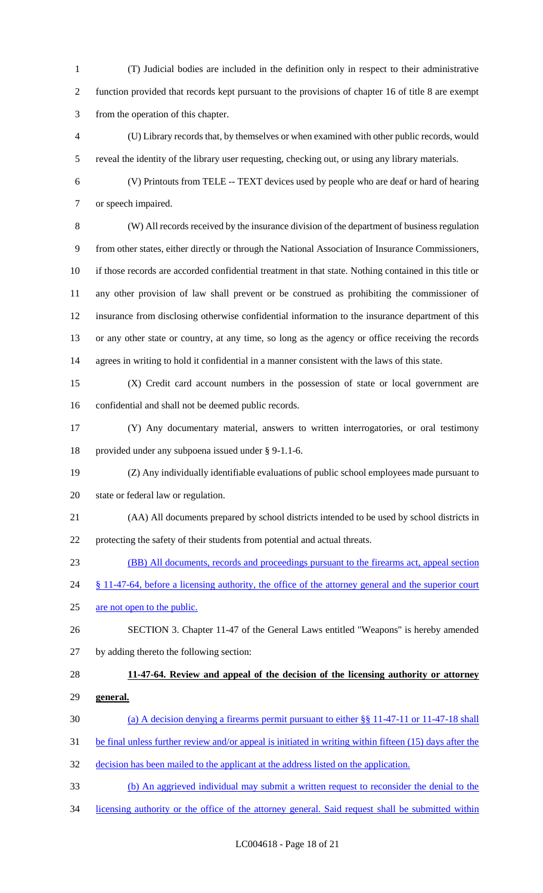(T) Judicial bodies are included in the definition only in respect to their administrative function provided that records kept pursuant to the provisions of chapter 16 of title 8 are exempt from the operation of this chapter.

 (U) Library records that, by themselves or when examined with other public records, would reveal the identity of the library user requesting, checking out, or using any library materials.

 (V) Printouts from TELE -- TEXT devices used by people who are deaf or hard of hearing or speech impaired.

 (W) All records received by the insurance division of the department of business regulation from other states, either directly or through the National Association of Insurance Commissioners, if those records are accorded confidential treatment in that state. Nothing contained in this title or any other provision of law shall prevent or be construed as prohibiting the commissioner of insurance from disclosing otherwise confidential information to the insurance department of this or any other state or country, at any time, so long as the agency or office receiving the records agrees in writing to hold it confidential in a manner consistent with the laws of this state.

 (X) Credit card account numbers in the possession of state or local government are confidential and shall not be deemed public records.

 (Y) Any documentary material, answers to written interrogatories, or oral testimony provided under any subpoena issued under § 9-1.1-6.

 (Z) Any individually identifiable evaluations of public school employees made pursuant to state or federal law or regulation.

- (AA) All documents prepared by school districts intended to be used by school districts in protecting the safety of their students from potential and actual threats.
- (BB) All documents, records and proceedings pursuant to the firearms act, appeal section
- 24 § 11-47-64, before a licensing authority, the office of the attorney general and the superior court

25 are not open to the public.

 SECTION 3. Chapter 11-47 of the General Laws entitled "Weapons" is hereby amended by adding thereto the following section:

## **11-47-64. Review and appeal of the decision of the licensing authority or attorney**

- **general.**
- (a) A decision denying a firearms permit pursuant to either §§ 11-47-11 or 11-47-18 shall
- 31 be final unless further review and/or appeal is initiated in writing within fifteen (15) days after the
- decision has been mailed to the applicant at the address listed on the application.
- (b) An aggrieved individual may submit a written request to reconsider the denial to the
- licensing authority or the office of the attorney general. Said request shall be submitted within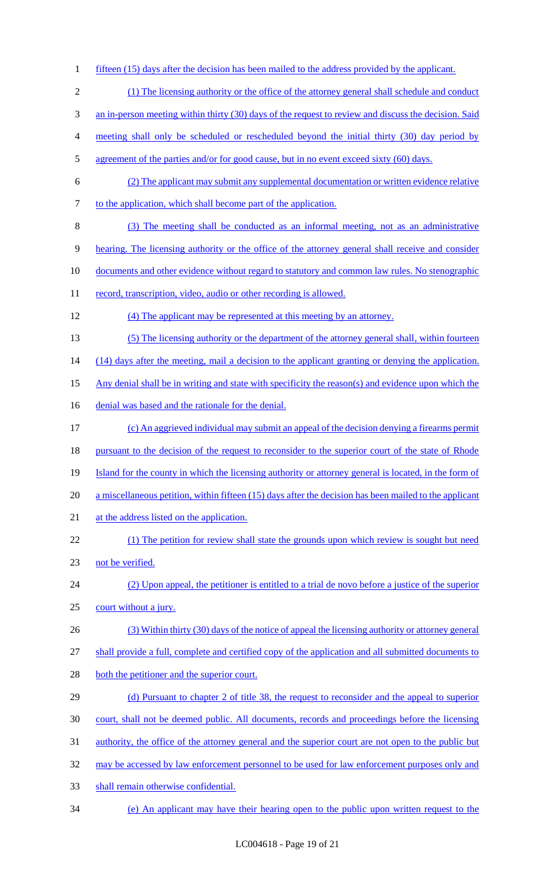3 an in-person meeting within thirty (30) days of the request to review and discuss the decision. Said 4 meeting shall only be scheduled or rescheduled beyond the initial thirty (30) day period by 5 agreement of the parties and/or for good cause, but in no event exceed sixty (60) days. 6 (2) The applicant may submit any supplemental documentation or written evidence relative 7 to the application, which shall become part of the application. 8 (3) The meeting shall be conducted as an informal meeting, not as an administrative 9 hearing. The licensing authority or the office of the attorney general shall receive and consider 10 documents and other evidence without regard to statutory and common law rules. No stenographic 11 record, transcription, video, audio or other recording is allowed. 12 (4) The applicant may be represented at this meeting by an attorney. 13 (5) The licensing authority or the department of the attorney general shall, within fourteen 14 (14) days after the meeting, mail a decision to the applicant granting or denying the application. 15 Any denial shall be in writing and state with specificity the reason(s) and evidence upon which the 16 denial was based and the rationale for the denial. 17 (c) An aggrieved individual may submit an appeal of the decision denying a firearms permit 18 pursuant to the decision of the request to reconsider to the superior court of the state of Rhode 19 Island for the county in which the licensing authority or attorney general is located, in the form of 20 a miscellaneous petition, within fifteen (15) days after the decision has been mailed to the applicant 21 at the address listed on the application. 22 (1) The petition for review shall state the grounds upon which review is sought but need 23 not be verified. 24 (2) Upon appeal, the petitioner is entitled to a trial de novo before a justice of the superior 25 court without a jury. 26 (3) Within thirty (30) days of the notice of appeal the licensing authority or attorney general 27 shall provide a full, complete and certified copy of the application and all submitted documents to 28 both the petitioner and the superior court. 29 (d) Pursuant to chapter 2 of title 38, the request to reconsider and the appeal to superior 30 court, shall not be deemed public. All documents, records and proceedings before the licensing 31 authority, the office of the attorney general and the superior court are not open to the public but

1 fifteen (15) days after the decision has been mailed to the address provided by the applicant.

2 (1) The licensing authority or the office of the attorney general shall schedule and conduct

- 32 may be accessed by law enforcement personnel to be used for law enforcement purposes only and
- 33 shall remain otherwise confidential.
- 34 (e) An applicant may have their hearing open to the public upon written request to the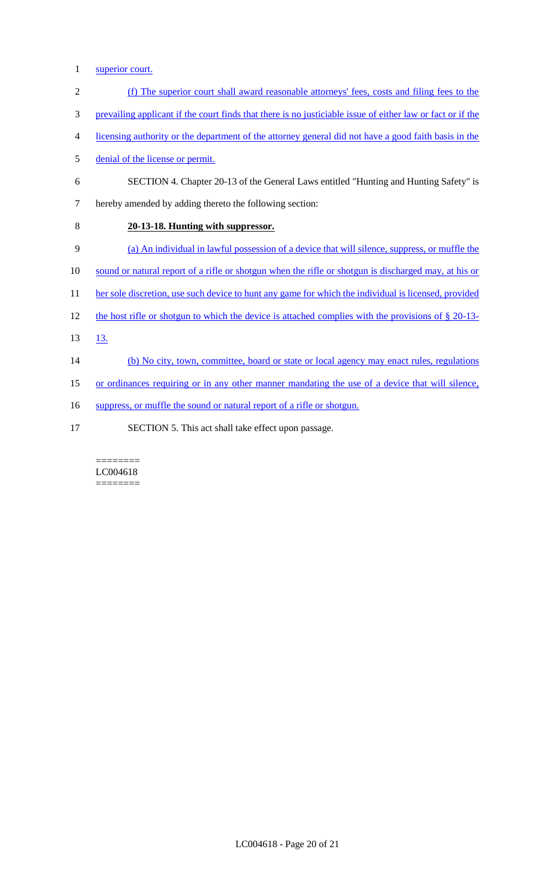- 1 superior court.
- 2 (f) The superior court shall award reasonable attorneys' fees, costs and filing fees to the
- 3 prevailing applicant if the court finds that there is no justiciable issue of either law or fact or if the
- 4 licensing authority or the department of the attorney general did not have a good faith basis in the
- 5 denial of the license or permit.
- 6 SECTION 4. Chapter 20-13 of the General Laws entitled "Hunting and Hunting Safety" is
- 7 hereby amended by adding thereto the following section:
- 8 **20-13-18. Hunting with suppressor.**
- 9 (a) An individual in lawful possession of a device that will silence, suppress, or muffle the
- 10 sound or natural report of a rifle or shotgun when the rifle or shotgun is discharged may, at his or
- 11 her sole discretion, use such device to hunt any game for which the individual is licensed, provided
- 12 the host rifle or shotgun to which the device is attached complies with the provisions of § 20-13-
- 13. 13.
- 14 (b) No city, town, committee, board or state or local agency may enact rules, regulations
- 15 or ordinances requiring or in any other manner mandating the use of a device that will silence,
- 16 suppress, or muffle the sound or natural report of a rifle or shotgun.
- 17 SECTION 5. This act shall take effect upon passage.

#### ======== LC004618 ========